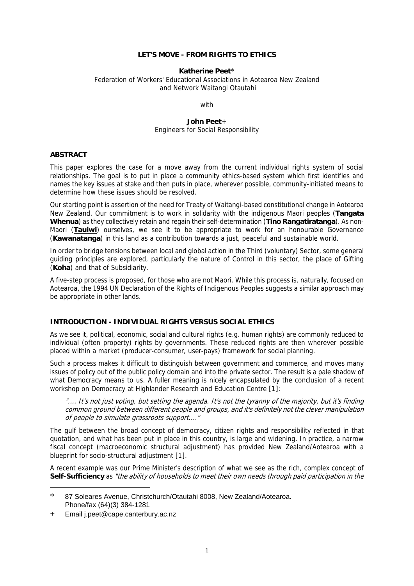### **LET'S MOVE - FROM RIGHTS TO ETHICS**

#### **Katherine Peet**[\\*](#page-0-0)

Federation of Workers' Educational Associations in Aotearoa New Zealand and Network Waitangi Otautahi

with

#### **John Peet**[+](#page-0-1)  Engineers for Social Responsibility

#### **ABSTRACT**

This paper explores the case for a move away from the current individual rights system of social relationships. The goal is to put in place a community ethics-based system which first identifies and names the key issues at stake and then puts in place, wherever possible, community-initiated means to determine how these issues should be resolved.

Our starting point is assertion of the need for Treaty of Waitangi-based constitutional change in Aotearoa New Zealand. Our commitment is to work in solidarity with the indigenous Maori peoples (**Tangata Whenua**) as they collectively retain and regain their self-determination (**Tino Rangatiratanga**). As non-Maori (**Tauiwi**) ourselves, we see it to be appropriate to work for an honourable Governance (**Kawanatanga**) in this land as a contribution towards a just, peaceful and sustainable world.

In order to bridge tensions between local and global action in the Third (voluntary) Sector, some general guiding principles are explored, particularly the nature of Control in this sector, the place of Gifting (**Koha**) and that of Subsidiarity.

A five-step process is proposed, for those who are not Maori. While this process is, naturally, focused on Aotearoa, the 1994 UN Declaration of the Rights of Indigenous Peoples suggests a similar approach may be appropriate in other lands.

### **INTRODUCTION - INDIVIDUAL RIGHTS VERSUS SOCIAL ETHICS**

As we see it, political, economic, social and cultural rights (e.g. human rights) are commonly reduced to individual (often property) rights by governments. These reduced rights are then wherever possible placed within a market (producer-consumer, user-pays) framework for social planning.

Such a process makes it difficult to distinguish between government and commerce, and moves many issues of policy out of the public policy domain and into the private sector. The result is a pale shadow of what Democracy means to us. A fuller meaning is nicely encapsulated by the conclusion of a recent workshop on Democracy at Highlander Research and Education Centre [1[\]:](#page-8-0) 

".... It's not just voting, but setting the agenda. It's not the tyranny of the majority, but it's finding common ground between different people and groups, and it's definitely not the clever manipulation of people to simulate grassroots support...."

The gulf between the broad concept of democracy, citizen rights and responsibility reflected in that quotation, and what has been put in place in this country, is large and widening. In practice, a narrow fiscal concept (macroeconomic structural adjustment) has provided New Zealand/Aotearoa with a blueprint for socio-structural adjustment [1[\].](#page-8-1)

A recent example was our Prime Minister's description of what we see as the rich, complex concept of **Self-Sufficiency** as "the ability of households to meet their own needs through paid participation in the

1

<span id="page-0-0"></span><sup>\*</sup> 87 Soleares Avenue, Christchurch/Otautahi 8008, New Zealand/Aotearoa. Phone/fax (64)(3) 384-1281

<span id="page-0-1"></span><sup>+</sup> Email j.peet@cape.canterbury.ac.nz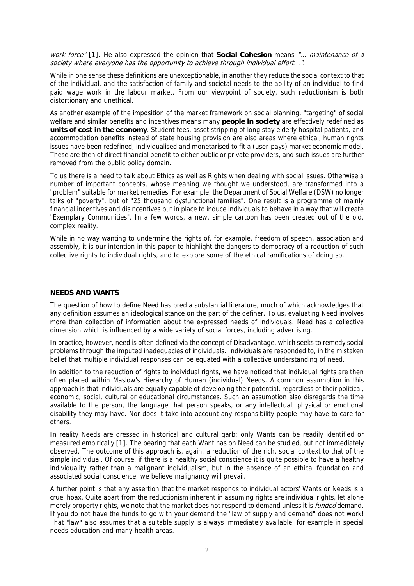society where everyone has the opportunity to achieve through individual effort...". work force" [1[\].](#page-8-1) He also expressed the opinion that **Social Cohesion** means "... maintenance of a

While in one sense these definitions are unexceptionable, in another they reduce the social context to that of the individual, and the satisfaction of family and societal needs to the ability of an individual to find paid wage work in the labour market. From our viewpoint of society, such reductionism is both distortionary and unethical.

As another example of the imposition of the market framework on social planning, "targeting" of social welfare and similar benefits and incentives means many **people in society** are effectively redefined as **units of cost in the economy**. Student fees, asset stripping of long stay elderly hospital patients, and accommodation benefits instead of state housing provision are also areas where ethical, human rights issues have been redefined, individualised and monetarised to fit a (user-pays) market economic model. These are then of direct financial benefit to either public or private providers, and such issues are further removed from the public policy domain.

To us there is a need to talk about Ethics as well as Rights when dealing with social issues. Otherwise a number of important concepts, whose meaning we thought we understood, are transformed into a "problem" suitable for market remedies. For example, the Department of Social Welfare (DSW) no longer talks of "poverty", but of "25 thousand dysfunctional families". One result is a programme of mainly financial incentives and disincentives put in place to induce individuals to behave in a way that will create "Exemplary Communities". In a few words, a new, simple cartoon has been created out of the old, complex reality.

While in no way wanting to undermine the rights of, for example, freedom of speech, association and assembly, it is our intention in this paper to highlight the dangers to democracy of a reduction of such collective rights to individual rights, and to explore some of the ethical ramifications of doing so.

### **NEEDS AND WANTS**

The question of how to define Need has bred a substantial literature, much of which acknowledges that any definition assumes an ideological stance on the part of the definer. To us, evaluating Need involves more than collection of information about the expressed needs of individuals. Need has a collective dimension which is influenced by a wide variety of social forces, including advertising.

In practice, however, need is often defined via the concept of Disadvantage, which seeks to remedy social problems through the imputed inadequacies of individuals. Individuals are responded to, in the mistaken belief that multiple individual responses can be equated with a collective understanding of need.

In addition to the reduction of rights to individual rights, we have noticed that individual rights are then often placed within Maslow's Hierarchy of Human (individual) Needs. A common assumption in this approach is that individuals are equally capable of developing their potential, regardless of their political, economic, social, cultural or educational circumstances. Such an assumption also disregards the time available to the person, the language that person speaks, or any intellectual, physical or emotional disability they may have. Nor does it take into account any responsibility people may have to care for others.

In reality Needs are dressed in historical and cultural garb; only Wants can be readily identified or measured empirically [1[\].](#page-8-2) The bearing that each Want has on Need can be studied, but not immediately observed. The outcome of this approach is, again, a reduction of the rich, social context to that of the simple individual. Of course, if there is a healthy social conscience it is quite possible to have a healthy individuality rather than a malignant individualism, but in the absence of an ethical foundation and associated social conscience, we believe malignancy will prevail.

A further point is that any assertion that the market responds to individual actors' Wants or Needs is a cruel hoax. Quite apart from the reductionism inherent in assuming rights are individual rights, let alone merely property rights, we note that the market does not respond to demand unless it is *funded* demand. If you do not have the funds to go with your demand the "law of supply and demand" does not work! That "law" also assumes that a suitable supply is always immediately available, for example in special needs education and many health areas.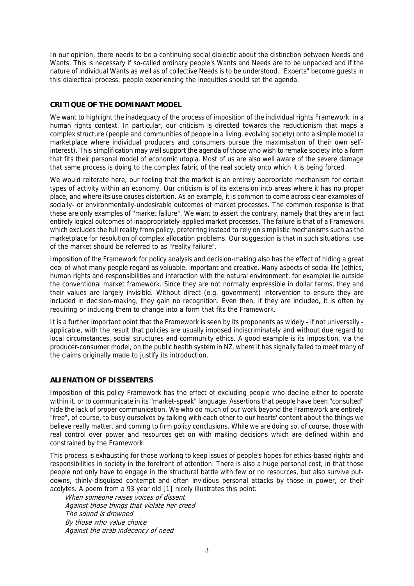In our opinion, there needs to be a continuing social dialectic about the distinction between Needs and Wants. This is necessary if so-called ordinary people's Wants and Needs are to be unpacked and if the nature of individual Wants as well as of collective Needs is to be understood. "Experts" become guests in this dialectical process; people experiencing the inequities should set the agenda.

## **CRITIQUE OF THE DOMINANT MODEL**

We want to highlight the inadequacy of the process of imposition of the individual rights Framework, in a human rights context. In particular, our criticism is directed towards the reductionism that maps a complex structure (people and communities of people in a living, evolving society) onto a simple model (a marketplace where individual producers and consumers pursue the maximisation of their own selfinterest). This simplification may well support the agenda of those who wish to remake society into a form that fits their personal model of economic utopia. Most of us are also well aware of the severe damage that same process is doing to the complex fabric of the real society onto which it is being forced.

We would reiterate here, our feeling that the market is an entirely appropriate mechanism for certain types of activity within an economy. Our criticism is of its extension into areas where it has no proper place, and where its use causes distortion. As an example, it is common to come across clear examples of socially- or environmentally-undesirable outcomes of market processes. The common response is that these are only examples of "market failure". We want to assert the contrary, namely that they are in fact entirely logical outcomes of inappropriately-applied market processes. The failure is that of a Framework which excludes the full reality from policy, preferring instead to rely on simplistic mechanisms such as the marketplace for resolution of complex allocation problems. Our suggestion is that in such situations, use of the market should be referred to as "reality failure".

Imposition of the Framework for policy analysis and decision-making also has the effect of hiding a great deal of what many people regard as valuable, important and creative. Many aspects of social life (ethics, human rights and responsibilities and interaction with the natural environment, for example) lie outside the conventional market framework. Since they are not normally expressible in dollar terms, they and their values are largely invisible. Without direct (e.g. government) intervention to ensure they are included in decision-making, they gain no recognition. Even then, if they are included, it is often by requiring or inducing them to change into a form that fits the Framework.

It is a further important point that the Framework is seen by its proponents as widely - if not universally applicable, with the result that policies are usually imposed indiscriminately and without due regard to local circumstances, social structures and community ethics. A good example is its imposition, via the producer-consumer model, on the public health system in NZ, where it has signally failed to meet many of the claims originally made to justify its introduction.

### **ALIENATION OF DISSENTERS**

Imposition of this policy Framework has the effect of excluding people who decline either to operate within it, or to communicate in its "market-speak" language. Assertions that people have been "consulted" hide the lack of proper communication. We who do much of our work beyond the Framework are entirely "free", of course, to busy ourselves by talking with each other to our hearts' content about the things we believe really matter, and coming to firm policy conclusions. While we are doing so, of course, those with real control over power and resources get on with making decisions which are defined within and constrained by the Framework.

This process is exhausting for those working to keep issues of people's hopes for ethics-based rights and responsibilities in society in the forefront of attention. There is also a huge personal cost, in that those people not only have to engage in the structural battle with few or no resources, but also survive putdowns, thinly-disguised contempt and often invidious personal attacks by those in power, or their acolytes. A poem from a 93 year old [1[\]](#page-8-3) nicely illustrates this point:

When someone raises voices of dissent Against those things that violate her creed The sound is drowned By those who value choice Against the drab indecency of need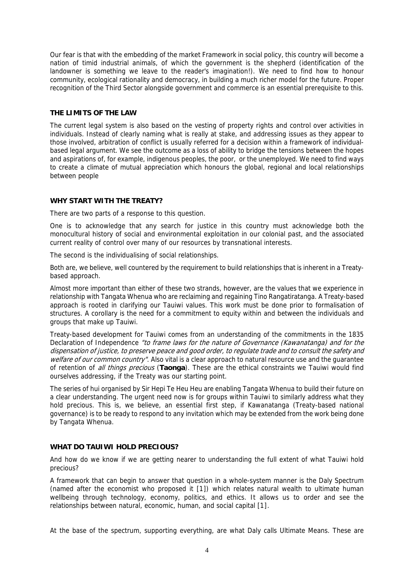Our fear is that with the embedding of the market Framework in social policy, this country will become a nation of timid industrial animals, of which the government is the shepherd (identification of the landowner is something we leave to the reader's imagination!). We need to find how to honour community, ecological rationality and democracy, in building a much richer model for the future. Proper recognition of the Third Sector alongside government and commerce is an essential prerequisite to this.

#### **THE LIMITS OF THE LAW**

The current legal system is also based on the vesting of property rights and control over activities in individuals. Instead of clearly naming what is really at stake, and addressing issues as they appear to those involved, arbitration of conflict is usually referred for a decision within a framework of individualbased legal argument. We see the outcome as a loss of ability to bridge the tensions between the hopes and aspirations of, for example, indigenous peoples, the poor, or the unemployed. We need to find ways to create a climate of mutual appreciation which honours the global, regional and local relationships between people

#### **WHY START WITH THE TREATY?**

There are two parts of a response to this question.

One is to acknowledge that any search for justice in this country must acknowledge both the monocultural history of social and environmental exploitation in our colonial past, and the associated current reality of control over many of our resources by transnational interests.

The second is the individualising of social relationships.

Both are, we believe, well countered by the requirement to build relationships that is inherent in a Treatybased approach.

Almost more important than either of these two strands, however, are the values that we experience in relationship with Tangata Whenua who are reclaiming and regaining Tino Rangatiratanga. A Treaty-based approach is rooted in clarifying our Tauiwi values. This work must be done prior to formalisation of structures. A corollary is the need for a commitment to equity within and between the individuals and groups that make up Tauiwi.

Treaty-based development for Tauiwi comes from an understanding of the commitments in the 1835 Declaration of Independence "to frame laws for the nature of Governance (Kawanatanga) and for the dispensation of justice, to preserve peace and good order, to regulate trade and to consult the safety and welfare of our common country". Also vital is a clear approach to natural resource use and the quarantee of retention of all things precious (**Taonga**). These are the ethical constraints we Tauiwi would find ourselves addressing, if the Treaty was our starting point.

The series of hui organised by Sir Hepi Te Heu Heu are enabling Tangata Whenua to build their future on a clear understanding. The urgent need now is for groups within Tauiwi to similarly address what they hold precious. This is, we believe, an essential first step, if Kawanatanga (Treaty-based national governance) is to be ready to respond to any invitation which may be extended from the work being done by Tangata Whenua.

### **WHAT DO TAUIWI HOLD PRECIOUS?**

And how do we know if we are getting nearer to understanding the full extent of what Tauiwi hold precious?

A framework that can begin to answer that question in a whole-system manner is the Daly Spectrum (named after the economist who proposed it [1[\]\)](#page-8-4) which relates natural wealth to ultimate human wellbeing through technology, economy, politics, and ethics. It allows us to order and see the relationships between natural, economic, human, and social capital [1[\]](#page-8-4).

At the base of the spectrum, supporting everything, are what Daly calls Ultimate Means. These are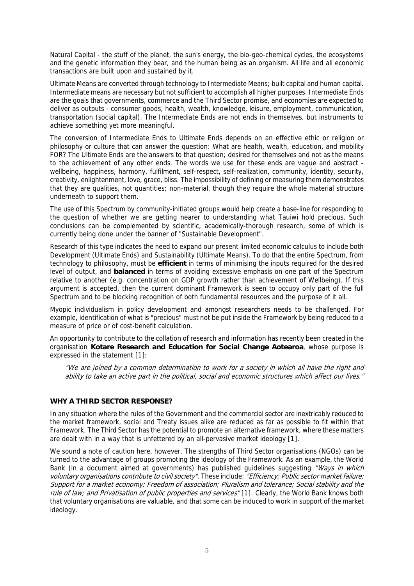Natural Capital - the stuff of the planet, the sun's energy, the bio-geo-chemical cycles, the ecosystems and the genetic information they bear, and the human being as an organism. All life and all economic transactions are built upon and sustained by it.

Ultimate Means are converted through technology to Intermediate Means; built capital and human capital. Intermediate means are necessary but not sufficient to accomplish all higher purposes. Intermediate Ends are the goals that governments, commerce and the Third Sector promise, and economies are expected to deliver as outputs - consumer goods, health, wealth, knowledge, leisure, employment, communication, transportation (social capital). The Intermediate Ends are not ends in themselves, but instruments to achieve something yet more meaningful.

The conversion of Intermediate Ends to Ultimate Ends depends on an effective ethic or religion or philosophy or culture that can answer the question: What are health, wealth, education, and mobility FOR? The Ultimate Ends are the answers to that question; desired for themselves and not as the means to the achievement of any other ends. The words we use for these ends are vague and abstract wellbeing, happiness, harmony, fulfilment, self-respect, self-realization, community, identity, security, creativity, enlightenment, love, grace, bliss. The impossibility of defining or measuring them demonstrates that they are qualities, not quantities; non-material, though they require the whole material structure underneath to support them.

The use of this Spectrum by community-initiated groups would help create a base-line for responding to the question of whether we are getting nearer to understanding what Tauiwi hold precious. Such conclusions can be complemented by scientific, academically-thorough research, some of which is currently being done under the banner of "Sustainable Development".

Research of this type indicates the need to expand our present limited economic calculus to include both Development (Ultimate Ends) and Sustainability (Ultimate Means). To do that the entire Spectrum, from technology to philosophy, must be **efficient** in terms of minimising the inputs required for the desired level of output, and **balanced** in terms of avoiding excessive emphasis on one part of the Spectrum relative to another (e.g. concentration on GDP growth rather than achievement of Wellbeing). If this argument is accepted, then the current dominant Framework is seen to occupy only part of the full Spectrum and to be blocking recognition of both fundamental resources and the purpose of it all.

Myopic individualism in policy development and amongst researchers needs to be challenged. For example, identification of what is "precious" must not be put inside the Framework by being reduced to a measure of price or of cost-benefit calculation.

An opportunity to contribute to the collation of research and information has recently been created in the organisation **Kotare Research and Education for Social Change Aotearoa**, whose purpose is expressed in the statement [1[\]:](#page-8-5)

"We are joined by a common determination to work for a society in which all have the right and ability to take an active part in the political, social and economic structures which affect our lives."

### **WHY A THIRD SECTOR RESPONSE?**

In any situation where the rules of the Government and the commercial sector are inextricably reduced to the market framework, social and Treaty issues alike are reduced as far as possible to fit within that Framework. The Third Sector has the potential to promote an alternative framework, where these matters are dealt with in a way that is unfettered by an all-pervasive market ideology [1[\].](#page-8-5) 

We sound a note of caution here, however. The strengths of Third Sector organisations (NGOs) can be turned to the advantage of groups promoting the ideology of the Framework. As an example, the World Bank (in a document aimed at governments) has published guidelines suggesting "Ways in which voluntary organisations contribute to civil society". These include: "Efficiency; Public sector market failure; Support for a market economy; Freedom of association; Pluralism and tolerance; Social stability and the rule of law; and Privatisation of public properties and services"[1[\].](#page-8-6) Clearly, the World Bank knows both that voluntary organisations are valuable, and that some can be induced to work in support of the market ideology.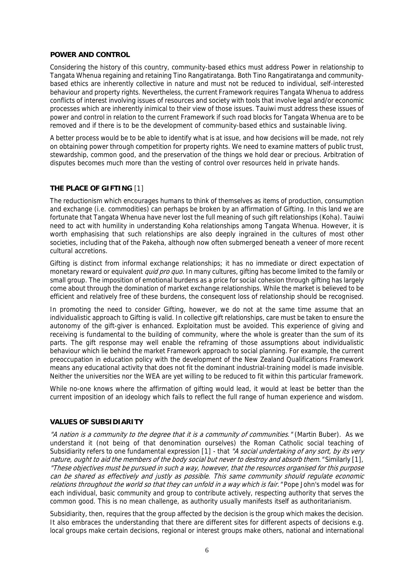#### **POWER AND CONTROL**

Considering the history of this country, community-based ethics must address Power in relationship to Tangata Whenua regaining and retaining Tino Rangatiratanga. Both Tino Rangatiratanga and communitybased ethics are inherently collective in nature and must not be reduced to individual, self-interested behaviour and property rights. Nevertheless, the current Framework requires Tangata Whenua to address conflicts of interest involving issues of resources and society with tools that involve legal and/or economic processes which are inherently inimical to their view of those issues. Tauiwi must address these issues of power and control in relation to the current Framework if such road blocks for Tangata Whenua are to be removed and if there is to be the development of community-based ethics and sustainable living.

A better process would be to be able to identify what is at issue, and how decisions will be made, not rely on obtaining power through competition for property rights. We need to examine matters of public trust, stewardship, common good, and the preservation of the things we hold dear or precious. Arbitration of disputes becomes much more than the vesting of control over resources held in private hands.

### **THE PLACE OF GIFTING** [1[\]](#page-8-6)

The reductionism which encourages humans to think of themselves as items of production, consumption and exchange (i.e. commodities) can perhaps be broken by an affirmation of Gifting. In this land we are fortunate that Tangata Whenua have never lost the full meaning of such gift relationships (Koha). Tauiwi need to act with humility in understanding Koha relationships among Tangata Whenua. However, it is worth emphasising that such relationships are also deeply ingrained in the cultures of most other societies, including that of the Pakeha, although now often submerged beneath a veneer of more recent cultural accretions.

Gifting is distinct from informal exchange relationships; it has no immediate or direct expectation of monetary reward or equivalent *quid pro quo.* In many cultures, gifting has become limited to the family or small group. The imposition of emotional burdens as a price for social cohesion through gifting has largely come about through the domination of market exchange relationships. While the market is believed to be efficient and relatively free of these burdens, the consequent loss of relationship should be recognised.

In promoting the need to consider Gifting, however, we do not at the same time assume that an individualistic approach to Gifting is valid. In collective gift relationships, care must be taken to ensure the autonomy of the gift-giver is enhanced. Exploitation must be avoided. This experience of giving and receiving is fundamental to the building of community, where the whole is greater than the sum of its parts. The gift response may well enable the reframing of those assumptions about individualistic behaviour which lie behind the market Framework approach to social planning. For example, the current preoccupation in education policy with the development of the New Zealand Qualifications Framework means any educational activity that does not fit the dominant industrial-training model is made invisible. Neither the universities nor the WEA are yet willing to be reduced to fit within this particular framework.

While no-one knows where the affirmation of gifting would lead, it would at least be better than the current imposition of an ideology which fails to reflect the full range of human experience and wisdom.

### **VALUES OF SUBSIDIARITY**

"A nation is a community to the degree that it is a community of communities." (Martin Buber). As we understand it (not being of that denomination ourselves) the Roman Catholic social teaching of Subsidiarity refers to one fundamental expression [1[\]](#page-9-0) - that "A social undertaking of any sort, by its very nature, ought to aid the members of the body social but never to destroy and absorb them." Similarly [1[\],](#page-9-0) "These objectives must be pursued in such a way, however, that the resources organised for this purpose can be shared as effectively and justly as possible. This same community should regulate economic relations throughout the world so that they can unfold in a way which is fair. "Pope John's model was for each individual, basic community and group to contribute actively, respecting authority that serves the common good. This is no mean challenge, as authority usually manifests itself as authoritarianism.

Subsidiarity, then, requires that the group affected by the decision is the group which makes the decision. It also embraces the understanding that there are different sites for different aspects of decisions e.g. local groups make certain decisions, regional or interest groups make others, national and international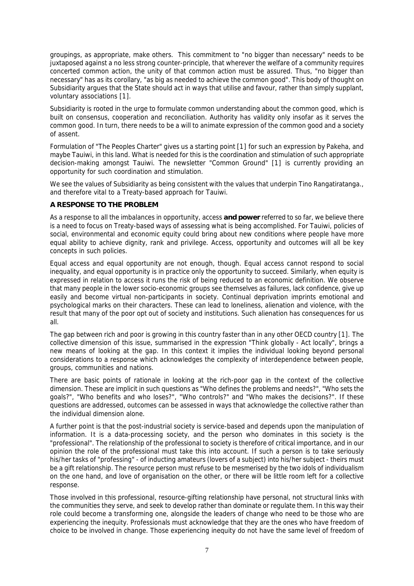groupings, as appropriate, make others. This commitment to "no bigger than necessary" needs to be juxtaposed against a no less strong counter-principle, that wherever the welfare of a community requires concerted common action, the unity of that common action must be assured. Thus, "no bigger than necessary" has as its corollary, "as big as needed to achieve the common good". This body of thought on Subsidiarity argues that the State should act in ways that utilise and favour, rather than simply supplant, voluntary associations [1[\].](#page-9-0) 

Subsidiarity is rooted in the urge to formulate common understanding about the common good, which is built on consensus, cooperation and reconciliation. Authority has validity only insofar as it serves the common good. In turn, there needs to be a will to animate expression of the common good and a society of assent.

Formulation of "The Peoples Charter" gives us a starting point [1[\]](#page-9-0) for such an expression by Pakeha, and maybe Tauiwi, in this land. What is needed for this is the coordination and stimulation of such appropriate decision-making amongst Tauiwi. The newsletter "Common Ground" [1[\]](#page-9-0) is currently providing an opportunity for such coordination and stimulation.

We see the values of Subsidiarity as being consistent with the values that underpin Tino Rangatiratanga.. and therefore vital to a Treaty-based approach for Tauiwi.

### **A RESPONSE TO THE PROBLEM**

As a response to all the imbalances in opportunity, access **and power** referred to so far, we believe there is a need to focus on Treaty-based ways of assessing what is being accomplished. For Tauiwi, policies of social, environmental and economic equity could bring about new conditions where people have more equal ability to achieve dignity, rank and privilege. Access, opportunity and outcomes will all be key concepts in such policies.

Equal access and equal opportunity are not enough, though. Equal access cannot respond to social inequality, and equal opportunity is in practice only the opportunity to succeed. Similarly, when equity is expressed in relation to access it runs the risk of being reduced to an economic definition. We observe that many people in the lower socio-economic groups see themselves as failures, lack confidence, give up easily and become virtual non-participants in society. Continual deprivation imprints emotional and psychological marks on their characters. These can lead to loneliness, alienation and violence, with the result that many of the poor opt out of society and institutions. Such alienation has consequences for us all.

The gap between rich and poor is growing in this country faster than in any other OECD country [1[\].](#page-9-1) The collective dimension of this issue, summarised in the expression "Think globally - Act locally", brings a new means of looking at the gap. In this context it implies the individual looking beyond personal considerations to a response which acknowledges the complexity of interdependence between people, groups, communities and nations.

There are basic points of rationale in looking at the rich-poor gap in the context of the collective dimension. These are implicit in such questions as "Who defines the problems and needs?", "Who sets the goals?", "Who benefits and who loses?", "Who controls?" and "Who makes the decisions?". If these questions are addressed, outcomes can be assessed in ways that acknowledge the collective rather than the individual dimension alone.

A further point is that the post-industrial society is service-based and depends upon the manipulation of information. It is a data-processing society, and the person who dominates in this society is the "professional". The relationship of the professional to society is therefore of critical importance, and in our opinion the role of the professional must take this into account. If such a person is to take seriously his/her tasks of "professing" - of inducting amateurs (lovers of a subject) into his/her subject - theirs must be a gift relationship. The resource person must refuse to be mesmerised by the two idols of individualism on the one hand, and love of organisation on the other, or there will be little room left for a collective response.

Those involved in this professional, resource-gifting relationship have personal, not structural links with the communities they serve, and seek to develop rather than dominate or regulate them. In this way their role could become a transforming one, alongside the leaders of change who need to be those who are experiencing the inequity. Professionals must acknowledge that they are the ones who have freedom of choice to be involved in change. Those experiencing inequity do not have the same level of freedom of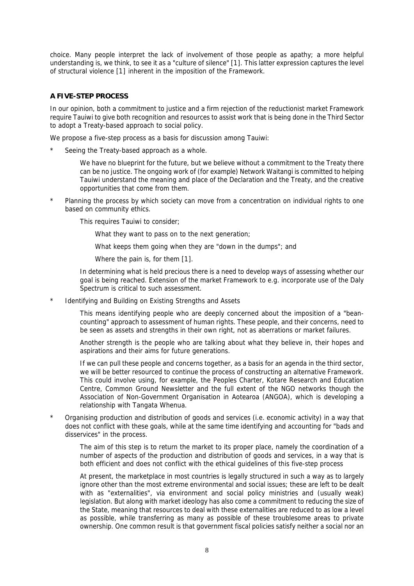choice. Many people interpret the lack of involvement of those people as apathy; a more helpful understanding is, we think, to see it as a "culture of silence" [1[\].](#page-9-2) This latter expression captures the level of structural violence [1[\]](#page-9-2) inherent in the imposition of the Framework.

### **A FIVE-STEP PROCESS**

In our opinion, both a commitment to justice and a firm rejection of the reductionist market Framework require Tauiwi to give both recognition and resources to assist work that is being done in the Third Sector to adopt a Treaty-based approach to social policy.

We propose a five-step process as a basis for discussion among Tauiwi:

- Seeing the Treaty-based approach as a whole.
	- We have no blueprint for the future, but we believe without a commitment to the Treaty there can be no justice. The ongoing work of (for example) Network Waitangi is committed to helping Tauiwi understand the meaning and place of the Declaration and the Treaty, and the creative opportunities that come from them.
- Planning the process by which society can move from a concentration on individual rights to one based on community ethics.
	- This requires Tauiwi to consider;
		- What they want to pass on to the next generation;
		- What keeps them going when they are "down in the dumps"; and
		- Where the pain is, for them [1[\].](#page-9-2)

In determining what is held precious there is a need to develop ways of assessing whether our goal is being reached. Extension of the market Framework to e.g. incorporate use of the Daly Spectrum is critical to such assessment.

- Identifying and Building on Existing Strengths and Assets
	- This means identifying people who are deeply concerned about the imposition of a "beancounting" approach to assessment of human rights. These people, and their concerns, need to be seen as assets and strengths in their own right, not as aberrations or market failures.
	- Another strength is the people who are talking about what they believe in, their hopes and aspirations and their aims for future generations.
	- If we can pull these people and concerns together, as a basis for an agenda in the third sector, we will be better resourced to continue the process of constructing an alternative Framework. This could involve using, for example, the Peoples Charter, Kotare Research and Education Centre, Common Ground Newsletter and the full extent of the NGO networks though the Association of Non-Government Organisation in Aotearoa (ANGOA), which is developing a relationship with Tangata Whenua.
- Organising production and distribution of goods and services (i.e. economic activity) in a way that does not conflict with these goals, while at the same time identifying and accounting for "bads and disservices" in the process.
	- The aim of this step is to return the market to its proper place, namely the coordination of a number of aspects of the production and distribution of goods and services, in a way that is both efficient and does not conflict with the ethical guidelines of this five-step process
	- At present, the marketplace in most countries is legally structured in such a way as to largely ignore other than the most extreme environmental and social issues; these are left to be dealt with as "externalities", via environment and social policy ministries and (usually weak) legislation. But along with market ideology has also come a commitment to reducing the size of the State, meaning that resources to deal with these externalities are reduced to as low a level as possible, while transferring as many as possible of these troublesome areas to private ownership. One common result is that government fiscal policies satisfy neither a social nor an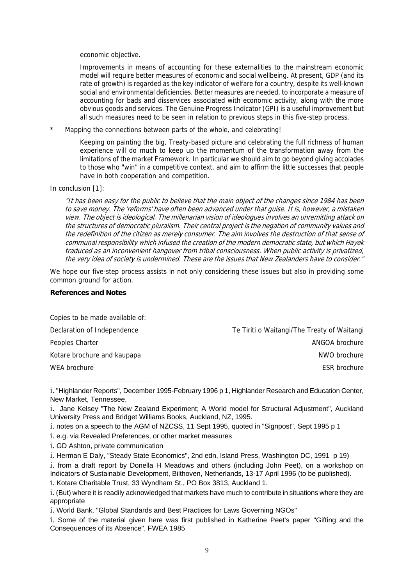economic objective.

Improvements in means of accounting for these externalities to the mainstream economic model will require better measures of economic and social wellbeing. At present, GDP (and its rate of growth) is regarded as the key indicator of welfare for a country, despite its well-known social and environmental deficiencies. Better measures are needed, to incorporate a measure of accounting for bads and disservices associated with economic activity, along with the more obvious goods and services. The Genuine Progress Indicator (GPI) is a useful improvement but all such measures need to be seen in relation to previous steps in this five-step process.

<span id="page-8-5"></span>Mapping the connections between parts of the whole, and celebrating!

Keeping on painting the big, Treaty-based picture and celebrating the full richness of human experience will do much to keep up the momentum of the transformation away from the limitations of the market Framework. In particular we should aim to go beyond giving accolades to those who "win" in a competitive context, and aim to affirm the little successes that people have in both cooperation and competition.

In conclusion [1[\]:](#page-9-3)

"It has been easy for the public to believe that the main object of the changes since 1984 has been to save money. The 'reforms' have often been advanced under that guise. It is, however, a mistaken view. The object is ideological. The millenarian vision of ideologues involves an unremitting attack on the structures of democratic pluralism. Their central project is the negation of community values and the redefinition of the citizen as merely consumer. The aim involves the destruction of that sense of communal responsibility which infused the creation of the modern democratic state, but which Hayek traduced as an inconvenient hangover from tribal consciousness. When public activity is privatized, the very idea of society is undermined. These are the issues that New Zealanders have to consider."

We hope our five-step process assists in not only considering these issues but also in providing some common ground for action.

# <span id="page-8-2"></span>**References and Notes**

<span id="page-8-1"></span>1

<span id="page-8-4"></span>Copies to be made available of: Declaration of Independence Te Tiriti o Waitangi/The Treaty of Waitangi Peoples Charter ANGOA brochure Charter ANGOA brochure Kotare brochure and kaupapa NWO brochure and kaupapa NWO brochure NWO brochure WEA brochure ESR brochure ESR brochure ESR brochure ESR brochure ESR brochure ESR brochure ESR brochure ESR brochure

i. notes on a speech to the AGM of NZCSS, 11 Sept 1995, quoted in "Signpost", Sept 1995 p 1

i. e.g. via Revealed Preferences, or other market measures

i. GD Ashton, private communication

<span id="page-8-6"></span><span id="page-8-3"></span>i. Herman E Daly, "Steady State Economics", 2nd edn, Island Press, Washington DC, 1991 p 19)

i. from a draft report by Donella H Meadows and others (including John Peet), on a workshop on Indicators of Sustainable Development, Bilthoven, Netherlands, 13-17 April 1996 (to be published).

i. Kotare Charitable Trust, 33 Wyndham St., PO Box 3813, Auckland 1.

<span id="page-8-0"></span>i. "Highlander Reports", December 1995-February 1996 p 1, Highlander Research and Education Center, New Market, Tennessee,

i. Jane Kelsey "The New Zealand Experiment; A World model for Structural Adjustment", Auckland University Press and Bridget Williams Books, Auckland, NZ, 1995.

i. (But) where it is readily acknowledged that markets have much to contribute in situations where they are appropriate

i. World Bank, "Global Standards and Best Practices for Laws Governing NGOs"

i. Some of the material given here was first published in Katherine Peet's paper "Gifting and the Consequences of its Absence", FWEA 1985